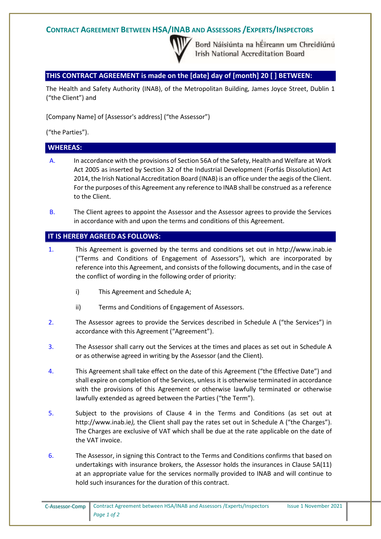## **CONTRACT AGREEMENT BETWEEN HSA/INAB AND ASSESSORS /EXPERTS/INSPECTORS**



Bord Náisiúnta na hÉireann um Chreidiúnú Irish National Accreditation Board

### **THIS CONTRACT AGREEMENT is made on the [date] day of [month] 20 [ ] BETWEEN:**

The Health and Safety Authority (INAB), of the Metropolitan Building, James Joyce Street, Dublin 1 ("the Client") and

[Company Name] of [Assessor's address] ("the Assessor")

("the Parties").

### **WHEREAS:**

- A. In accordance with the provisions of Section 56A of the Safety, Health and Welfare at Work Act 2005 as inserted by Section 32 of the Industrial Development (Forfás Dissolution) Act 2014, the Irish National Accreditation Board (INAB) is an office under the aegis of the Client. For the purposes of this Agreement any reference to INAB shall be construed as a reference to the Client.
- B. The Client agrees to appoint the Assessor and the Assessor agrees to provide the Services in accordance with and upon the terms and conditions of this Agreement.

#### **IT IS HEREBY AGREED AS FOLLOWS:**

- 1. This Agreement is governed by the terms and conditions set out in http://www.inab.ie ("Terms and Conditions of Engagement of Assessors"), which are incorporated by reference into this Agreement, and consists of the following documents, and in the case of the conflict of wording in the following order of priority:
	- i) This Agreement and Schedule A;
	- ii) Terms and Conditions of Engagement of Assessors.
- 2. The Assessor agrees to provide the Services described in Schedule A ("the Services") in accordance with this Agreement ("Agreement").
- 3. The Assessor shall carry out the Services at the times and places as set out in Schedule A or as otherwise agreed in writing by the Assessor (and the Client).
- 4. This Agreement shall take effect on the date of this Agreement ("the Effective Date") and shall expire on completion of the Services, unless it is otherwise terminated in accordance with the provisions of this Agreement or otherwise lawfully terminated or otherwise lawfully extended as agreed between the Parties ("the Term").
- 5. Subject to the provisions of Clause 4 in the Terms and Conditions (as set out at http://www.inab.ie*),* the Client shall pay the rates set out in Schedule A ("the Charges"). The Charges are exclusive of VAT which shall be due at the rate applicable on the date of the VAT invoice.
- 6. The Assessor, in signing this Contract to the Terms and Conditions confirms that based on undertakings with insurance brokers, the Assessor holds the insurances in Clause 5A(11) at an appropriate value for the services normally provided to INAB and will continue to hold such insurances for the duration of this contract.